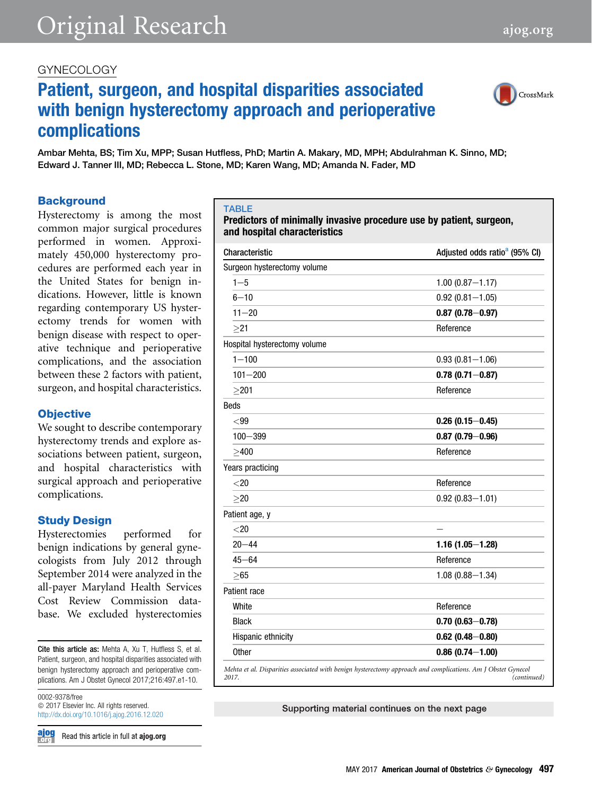# <span id="page-0-0"></span>Original Research [ajog.org](http://www.AJOG.org)

### GYNECOLOGY

# Patient, surgeon, and hospital disparities associated with benign hysterectomy approach and perioperative complications

Ambar Mehta, BS; Tim Xu, MPP; Susan Hutfless, PhD; Martin A. Makary, MD, MPH; Abdulrahman K. Sinno, MD; Edward J. Tanner III, MD; Rebecca L. Stone, MD; Karen Wang, MD; Amanda N. Fader, MD

#### **Background**

Hysterectomy is among the most common major surgical procedures performed in women. Approximately 450,000 hysterectomy procedures are performed each year in the United States for benign indications. However, little is known regarding contemporary US hysterectomy trends for women with benign disease with respect to operative technique and perioperative complications, and the association between these 2 factors with patient, surgeon, and hospital characteristics.

#### **Objective**

We sought to describe contemporary hysterectomy trends and explore associations between patient, surgeon, and hospital characteristics with surgical approach and perioperative complications.

### Study Design

Hysterectomies performed for benign indications by general gynecologists from July 2012 through September 2014 were analyzed in the all-payer Maryland Health Services Cost Review Commission database. We excluded hysterectomies

Cite this article as: Mehta A, Xu T, Hutfless S, et al. Patient, surgeon, and hospital disparities associated with benign hysterectomy approach and perioperative complications. Am J Obstet Gynecol 2017;216:497.e1-10.

0002-9378/free  $\odot$  2017 Elsevier Inc. All rights reserved. <http://dx.doi.org/10.1016/j.ajog.2016.12.020>

**ajog<br>Fore** Read this article in full at ajog.org

#### TABLE

#### Predictors of minimally invasive procedure use by patient, surgeon, and hospital characteristics

| Characteristic               | Adjusted odds ratio <sup>a</sup> (95% CI) |
|------------------------------|-------------------------------------------|
| Surgeon hysterectomy volume  |                                           |
| $1 - 5$                      | $1.00(0.87 - 1.17)$                       |
| $6 - 10$                     | $0.92(0.81 - 1.05)$                       |
| $11 - 20$                    | $0.87(0.78 - 0.97)$                       |
| >21                          | Reference                                 |
| Hospital hysterectomy volume |                                           |
| $1 - 100$                    | $0.93(0.81 - 1.06)$                       |
| $101 - 200$                  | $0.78(0.71 - 0.87)$                       |
| >201                         | Reference                                 |
| <b>Beds</b>                  |                                           |
| $99$                         | $0.26(0.15 - 0.45)$                       |
| $100 - 399$                  | $0.87(0.79 - 0.96)$                       |
| >400                         | Reference                                 |
| Years practicing             |                                           |
| < 20                         | Reference                                 |
| >20                          | $0.92(0.83 - 1.01)$                       |
| Patient age, y               |                                           |
| < 20                         |                                           |
| $20 - 44$                    | $1.16(1.05 - 1.28)$                       |
| $45 - 64$                    | Reference                                 |
| >65                          | $1.08(0.88 - 1.34)$                       |
| Patient race                 |                                           |
| White                        | Reference                                 |
| <b>Black</b>                 | $0.70(0.63 - 0.78)$                       |
| Hispanic ethnicity           | $0.62$ (0.48-0.80)                        |
| <b>Other</b>                 | $0.86(0.74 - 1.00)$                       |

Supporting material continues on the next page

CrossMark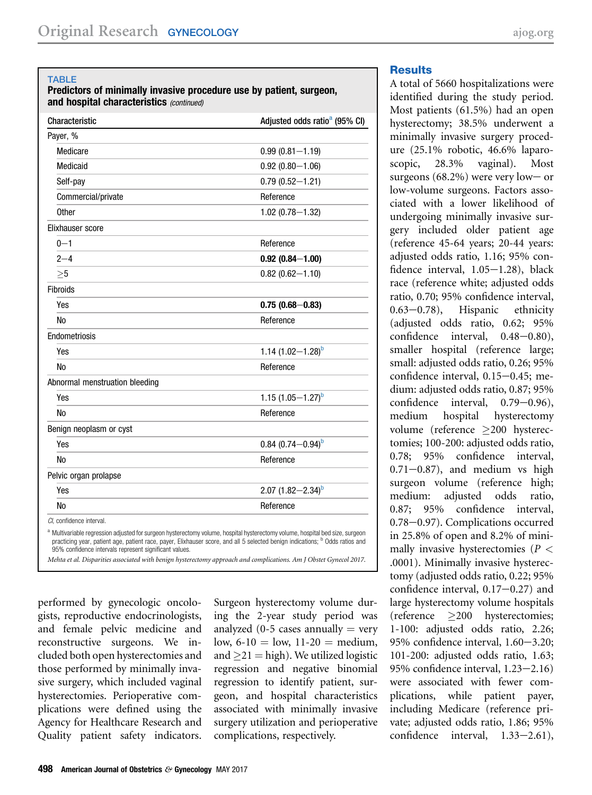#### <span id="page-1-0"></span>**TABLE**

#### Predictors of minimally invasive procedure use by patient, surgeon, and hospital characteristics (continued)

| Characteristic                                                                                                                                                                                                                                                            | Adjusted odds ratio <sup>a</sup> (95% CI) |
|---------------------------------------------------------------------------------------------------------------------------------------------------------------------------------------------------------------------------------------------------------------------------|-------------------------------------------|
| Payer, %                                                                                                                                                                                                                                                                  |                                           |
| Medicare                                                                                                                                                                                                                                                                  | $0.99(0.81 - 1.19)$                       |
| Medicaid                                                                                                                                                                                                                                                                  | $0.92(0.80 - 1.06)$                       |
| Self-pay                                                                                                                                                                                                                                                                  | $0.79(0.52 - 1.21)$                       |
| Commercial/private                                                                                                                                                                                                                                                        | Reference                                 |
| 0ther                                                                                                                                                                                                                                                                     | $1.02(0.78 - 1.32)$                       |
| Elixhauser score                                                                                                                                                                                                                                                          |                                           |
| $0 - 1$                                                                                                                                                                                                                                                                   | Reference                                 |
| $2 - 4$                                                                                                                                                                                                                                                                   | $0.92(0.84 - 1.00)$                       |
| >5                                                                                                                                                                                                                                                                        | $0.82(0.62 - 1.10)$                       |
| Fibroids                                                                                                                                                                                                                                                                  |                                           |
| Yes                                                                                                                                                                                                                                                                       | $0.75(0.68 - 0.83)$                       |
| <b>No</b>                                                                                                                                                                                                                                                                 | Reference                                 |
| Endometriosis                                                                                                                                                                                                                                                             |                                           |
| Yes                                                                                                                                                                                                                                                                       | 1.14 $(1.02 - 1.28)^b$                    |
| <b>No</b>                                                                                                                                                                                                                                                                 | Reference                                 |
| Abnormal menstruation bleeding                                                                                                                                                                                                                                            |                                           |
| Yes                                                                                                                                                                                                                                                                       | 1.15 $(1.05 - 1.27)^b$                    |
| <b>No</b>                                                                                                                                                                                                                                                                 | Reference                                 |
| Benign neoplasm or cyst                                                                                                                                                                                                                                                   |                                           |
| Yes                                                                                                                                                                                                                                                                       | $0.84~(0.74 - 0.94)^b$                    |
| <b>No</b>                                                                                                                                                                                                                                                                 | Reference                                 |
| Pelvic organ prolapse                                                                                                                                                                                                                                                     |                                           |
| Yes                                                                                                                                                                                                                                                                       | 2.07 $(1.82 - 2.34)^b$                    |
| No                                                                                                                                                                                                                                                                        | Reference                                 |
| CI, confidence interval.                                                                                                                                                                                                                                                  |                                           |
| a Multivariable regression adjusted for surgeon hysterectomy volume, hospital hysterectomy volume, hospital bed size, surgeon<br>practicing year, patient age, patient race, payer, Elixhauser score, and all 5 selected benign indications; <sup>b</sup> Odds ratios and |                                           |

95% confidence intervals represent significant values.

Mehta et al. Disparities associated with benign hysterectomy approach and complications. Am J Obstet Gynecol 2017.

performed by gynecologic oncologists, reproductive endocrinologists, and female pelvic medicine and reconstructive surgeons. We included both open hysterectomies and those performed by minimally invasive surgery, which included vaginal hysterectomies. Perioperative complications were defined using the Agency for Healthcare Research and Quality patient safety indicators.

Surgeon hysterectomy volume during the 2-year study period was analyzed (0-5 cases annually  $=$  very low,  $6-10 =$ low,  $11-20 =$  medium, and  $\geq$ 21 = high). We utilized logistic regression and negative binomial regression to identify patient, surgeon, and hospital characteristics associated with minimally invasive surgery utilization and perioperative complications, respectively.

#### **Results**

A total of 5660 hospitalizations were identified during the study period. Most patients (61.5%) had an open hysterectomy; 38.5% underwent a minimally invasive surgery procedure (25.1% robotic, 46.6% laparoscopic, 28.3% vaginal). Most surgeons  $(68.2\%)$  were very low- or low-volume surgeons. Factors associated with a lower likelihood of undergoing minimally invasive surgery included older patient age (reference 45-64 years; 20-44 years: adjusted odds ratio, 1.16; 95% confidence interval,  $1.05-1.28$ ), black race (reference white; adjusted odds ratio, 0.70; 95% confidence interval,  $(0.63 - 0.78)$ , Hispanic ethnicity (adjusted odds ratio, 0.62; 95% confidence interval,  $0.48-0.80$ ), smaller hospital (reference large; small: adjusted odds ratio, 0.26; 95% confidence interval,  $0.15-0.45$ ; medium: adjusted odds ratio, 0.87; 95% confidence interval,  $0.79-0.96$ ), medium hospital hysterectomy volume (reference  $\geq$ 200 hysterectomies; 100-200: adjusted odds ratio, 0.78; 95% confidence interval,  $0.71-0.87$ ), and medium vs high surgeon volume (reference high; medium: adjusted odds ratio, 0.87; 95% confidence interval, 0.78-0.97). Complications occurred in 25.8% of open and 8.2% of minimally invasive hysterectomies ( $P <$ .0001). Minimally invasive hysterectomy (adjusted odds ratio, 0.22; 95% confidence interval,  $0.17-0.27$ ) and large hysterectomy volume hospitals (reference 200 hysterectomies; 1-100: adjusted odds ratio, 2.26; 95% confidence interval,  $1.60 - 3.20$ ; 101-200: adjusted odds ratio, 1.63; 95% confidence interval,  $1.23-2.16$ ) were associated with fewer complications, while patient payer, including Medicare (reference private; adjusted odds ratio, 1.86; 95% confidence interval,  $1.33-2.61$ ),